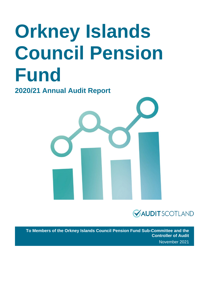# **Orkney Islands Council Pension Fund**

**2020/21 Annual Audit Report** 





**To Members of the Orkney Islands Council Pension Fund Sub-Committee and the Controller of Audit** November 2021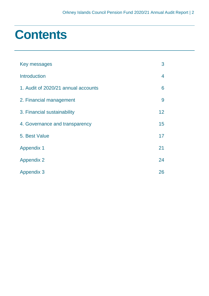### **Contents**

| Key messages                        | 3               |
|-------------------------------------|-----------------|
| <b>Introduction</b>                 | 4               |
| 1. Audit of 2020/21 annual accounts | 6               |
| 2. Financial management             | 9               |
| 3. Financial sustainability         | 12 <sup>2</sup> |
| 4. Governance and transparency      | 15              |
| 5. Best Value                       | 17              |
| <b>Appendix 1</b>                   | 21              |
| <b>Appendix 2</b>                   | 24              |
| <b>Appendix 3</b>                   | 26              |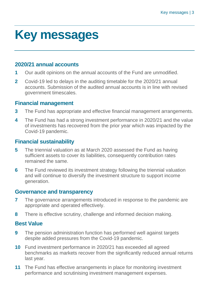### <span id="page-2-0"></span>**Key messages**

#### **2020/21 annual accounts**

- **1** Our audit opinions on the annual accounts of the Fund are unmodified.
- **2** Covid-19 led to delays in the auditing timetable for the 2020/21 annual accounts. Submission of the audited annual accounts is in line with revised government timescales.

#### **Financial management**

- **3** The Fund has appropriate and effective financial management arrangements.
- **4** The Fund has had a strong investment performance in 2020/21 and the value of investments has recovered from the prior year which was impacted by the Covid-19 pandemic.

#### **Financial sustainability**

- **5** The triennial valuation as at March 2020 assessed the Fund as having sufficient assets to cover its liabilities, consequently contribution rates remained the same.
- **6** The Fund reviewed its investment strategy following the triennial valuation and will continue to diversify the investment structure to support income generation.

#### **Governance and transparency**

- **7** The governance arrangements introduced in response to the pandemic are appropriate and operated effectively.
- **8** There is effective scrutiny, challenge and informed decision making.

#### **Best Value**

- **9** The pension administration function has performed well against targets despite added pressures from the Covid-19 pandemic.
- **10** Fund investment performance in 2020/21 has exceeded all agreed benchmarks as markets recover from the significantly reduced annual returns last year.
- **11** The Fund has effective arrangements in place for monitoring investment performance and scrutinising investment management expenses.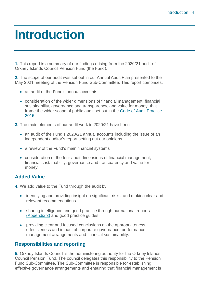### <span id="page-3-0"></span>**Introduction**

**1.** This report is a summary of our findings arising from the 2020/21 audit of Orkney Islands Council Pension Fund (the Fund).

**2.** The scope of our audit was set out in our Annual Audit Plan presented to the May 2021 meeting of the Pension Fund Sub-Committee. This report comprises:

- an audit of the Fund's annual accounts
- consideration of the wider dimensions of financial management, financial sustainability, governance and transparency, and value for money, that frame the wider scope of public audit set out in the [Code of Audit Practice](http://www.audit-scotland.gov.uk/report/code-of-audit-practice-2016)  [2016](http://www.audit-scotland.gov.uk/report/code-of-audit-practice-2016)
- **3.** The main elements of our audit work in 2020/21 have been:
	- an audit of the Fund's 2020/21 annual accounts including the issue of an independent auditor's report setting out our opinions
	- a review of the Fund's main financial systems
	- consideration of the four audit dimensions of financial management, financial sustainability, governance and transparency and value for money.

#### **Added Value**

**4.** We add value to the Fund through the audit by:

- identifying and providing insight on significant risks, and making clear and relevant recommendations
- sharing intelligence and good practice through our national reports [\(Appendix 3\)](#page-25-1) and good practice guides
- providing clear and focused conclusions on the appropriateness, effectiveness and impact of corporate governance, performance management arrangements and financial sustainability.

#### **Responsibilities and reporting**

**5.** Orkney Islands Council is the administering authority for the Orkney Islands Council Pension Fund. The council delegates this responsibility to the Pension Fund Sub-Committee. The Sub-Committee is responsible for establishing effective governance arrangements and ensuring that financial management is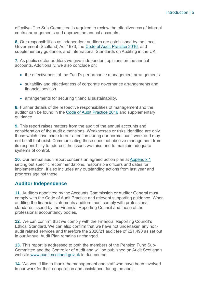effective. The Sub-Committee is required to review the effectiveness of internal control arrangements and approve the annual accounts.

**6.** Our responsibilities as independent auditors are established by the Local Government (Scotland) Act 1973, the [Code of Audit Practice 2016,](http://www.audit-scotland.gov.uk/uploads/docs/report/2016/code_audit_practice_16.pdf) and supplementary guidance, and International Standards on Auditing in the UK.

**7.** As public sector auditors we give independent opinions on the annual accounts. Additionally, we also conclude on:

- the effectiveness of the Fund's performance management arrangements
- suitability and effectiveness of corporate governance arrangements and financial position
- arrangements for securing financial sustainability.

**8.** Further details of the respective responsibilities of management and the auditor can be found in the [Code of Audit Practice 2016](http://www.audit-scotland.gov.uk/uploads/docs/report/2016/code_audit_practice_16.pdf) and supplementary guidance.

**9.** This report raises matters from the audit of the annual accounts and consideration of the audit dimensions. Weaknesses or risks identified are only those which have come to our attention during our normal audit work and may not be all that exist. Communicating these does not absolve management from its responsibility to address the issues we raise and to maintain adequate systems of control.

**10.** Our annual audit report contains an agreed action plan at [Appendix 1](#page-20-0) setting out specific recommendations, responsible officers and dates for implementation. It also includes any outstanding actions from last year and progress against these.

#### **Auditor Independence**

**11.** Auditors appointed by the Accounts Commission or Auditor General must comply with the Code of Audit Practice and relevant supporting guidance. When auditing the financial statements auditors must comply with professional standards issued by the Financial Reporting Council and those of the professional accountancy bodies.

**12.** We can confirm that we comply with the Financial Reporting Council's Ethical Standard. We can also confirm that we have not undertaken any nonaudit related services and therefore the 2020/21 audit fee of £21,490 as set out in our Annual Audit Plan remains unchanged.

**13.** This report is addressed to both the members of the Pension Fund Sub-Committee and the Controller of Audit and will be published on Audit Scotland's website [www.audit-scotland.gov.uk](http://www.audit-scotland.gov.uk/) in due course.

**14.** We would like to thank the management and staff who have been involved in our work for their cooperation and assistance during the audit.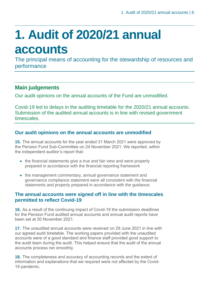# <span id="page-5-0"></span>**1. Audit of 2020/21 annual accounts**

The principal means of accounting for the stewardship of resources and performance

#### **Main judgements**

Our audit opinions on the annual accounts of the Fund are unmodified.

Covid-19 led to delays in the auditing timetable for the 2020/21 annual accounts. Submission of the audited annual accounts is in line with revised government timescales.

#### **Our audit opinions on the annual accounts are unmodified**

**15.** The annual accounts for the year ended 31 March 2021 were approved by the Pension Fund Sub-Committee on 24 November 2021. We reported, within the independent auditor's report that:

- the financial statements give a true and fair view and were properly prepared in accordance with the financial reporting framework
- the management commentary, annual governance statement and governance compliance statement were all consistent with the financial statements and properly prepared in accordance with the guidance.

#### **The annual accounts were signed off in line with the timescales permitted to reflect Covid-19**

**16.** As a result of the continuing impact of Covid-19 the submission deadlines for the Pension Fund audited annual accounts and annual audit reports have been set at 30 November 2021.

**17.** The unaudited annual accounts were received on 29 June 2021 in line with our agreed audit timetable. The working papers provided with the unaudited accounts were of a good standard and finance staff provided good support to the audit team during the audit. This helped ensure that the audit of the annual accounts process ran smoothly.

**18.** The completeness and accuracy of accounting records and the extent of information and explanations that we required were not affected by the Covid-19 pandemic.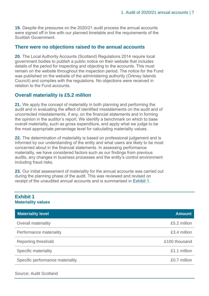**19.** Despite the pressures on the 2020/21 audit process the annual accounts were signed off in line with our planned timetable and the requirements of the Scottish Government.

#### **There were no objections raised to the annual accounts**

**20.** The Local Authority Accounts (Scotland) Regulations 2014 require local government bodies to publish a public notice on their website that includes details of the period for inspecting and objecting to the accounts. This must remain on the website throughout the inspection period. The notice for the Fund was published on the website of the administering authority (Orkney Islands Council) and complies with the regulations. No objections were received in relation to the Fund accounts.

#### **Overall materiality is £5.2 million**

**21.** We apply the concept of materiality in both planning and performing the audit and in evaluating the effect of identified misstatements on the audit and of uncorrected misstatements, if any, on the financial statements and in forming the opinion in the auditor's report. We identify a benchmark on which to base overall materiality, such as gross expenditure, and apply what we judge to be the most appropriate percentage level for calculating materiality values.

**22.** The determination of materiality is based on professional judgement and is informed by our understanding of the entity and what users are likely to be most concerned about in the financial statements. In assessing performance materiality, we have considered factors such as our findings from previous audits, any changes in business processes and the entity's control environment including fraud risks.

**23.** Our initial assessment of materiality for the annual accounts was carried out during the planning phase of the audit. This was reviewed and revised on receipt of the unaudited annual accounts and is summarised in [Exhibit 1.](#page-6-0)

#### <span id="page-6-0"></span>**Exhibit 1 Materiality values**

| <b>Materiality level</b>         | <b>Amount</b> |
|----------------------------------|---------------|
| <b>Overall materiality</b>       | £5.2 million  |
| Performance materiality          | £3.4 million  |
| Reporting threshold              | £100 thousand |
| Specific materiality             | £1.1 million  |
| Specific performance materiality | £0.7 million  |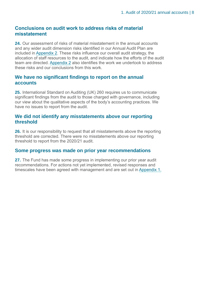#### **Conclusions on audit work to address risks of material misstatement**

**24.** Our assessment of risks of material misstatement in the annual accounts and any wider audit dimension risks identified in our Annual Audit Plan are included in [Appendix 2.](#page-23-0) These risks influence our overall audit strategy, the allocation of staff resources to the audit, and indicate how the efforts of the audit team are directed. [Appendix 2](#page-23-0) also identifies the work we undertook to address these risks and our conclusions from this work.

#### **We have no significant findings to report on the annual accounts**

**25.** International Standard on Auditing (UK) 260 requires us to communicate significant findings from the audit to those charged with governance, including our view about the qualitative aspects of the body's accounting practices. We have no issues to report from the audit.

#### **We did not identify any misstatements above our reporting threshold**

**26.** It is our responsibility to request that all misstatements above the reporting threshold are corrected. There were no misstatements above our reporting threshold to report from the 2020/21 audit.

#### **Some progress was made on prior year recommendations**

**27.** The Fund has made some progress in implementing our prior year audit recommendations. For actions not yet implemented, revised responses and timescales have been agreed with management and are set out in [Appendix 1.](#page-20-0)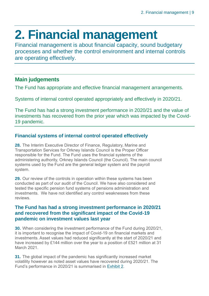### <span id="page-8-0"></span>**2. Financial management**

Financial management is about financial capacity, sound budgetary processes and whether the control environment and internal controls are operating effectively.

#### **Main judgements**

The Fund has appropriate and effective financial management arrangements.

Systems of internal control operated appropriately and effectively in 2020/21.

The Fund has had a strong investment performance in 2020/21 and the value of investments has recovered from the prior year which was impacted by the Covid-19 pandemic.

#### **Financial systems of internal control operated effectively**

**28.** The Interim Executive Director of Finance, Regulatory, Marine and Transportation Services for Orkney Islands Council is the Proper Officer responsible for the Fund. The Fund uses the financial systems of the administering authority, Orkney Islands Council (the Council). The main council systems used by the Fund are the general ledger system and the payroll system.

**29.** Our review of the controls in operation within these systems has been conducted as part of our audit of the Council. We have also considered and tested the specific pension fund systems of pensions administration and investments. We have not identified any control weaknesses from these reviews.

#### **The Fund has had a strong investment performance in 2020/21 and recovered from the significant impact of the Covid-19 pandemic on investment values last year**

**30.** When considering the investment performance of the Fund during 2020/21, it is important to recognise the impact of Covid-19 on financial markets and investments. Asset values had reduced significantly at the start of 2020/21 and have increased by £144 million over the year to a position of £521 million at 31 March 2021.

**31.** The global impact of the pandemic has significantly increased market volatility however as noted asset values have recovered during 2020/21. The Fund's performance in 2020/21 is summarised in [Exhibit 2.](#page-9-0)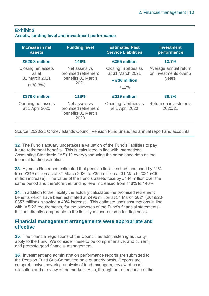#### <span id="page-9-0"></span>**Exhibit 2 Assets, funding level and investment performance**

| Increase in net<br><b>assets</b>                           | <b>Funding level</b>                                              | <b>Estimated Past</b><br><b>Service Liabilities</b>                     | <b>Investment</b><br>performance                        |
|------------------------------------------------------------|-------------------------------------------------------------------|-------------------------------------------------------------------------|---------------------------------------------------------|
| £520.8 million                                             | 146%                                                              | £355 million                                                            | 13.7%                                                   |
| Closing net assets<br>as at<br>31 March 2021<br>$(+38.3%)$ | Net assets vs<br>promised retirement<br>benefits 31 March<br>2021 | Closing liabilities as<br>at 31 March 2021<br>$+$ £36 million<br>$+11%$ | Average annual return<br>on investments over 5<br>years |
| £376.6 million                                             | 118%                                                              | £319 million                                                            | 38.3%                                                   |
| Opening net assets<br>at 1 April 2020                      | Net assets vs<br>promised retirement<br>benefits 31 March<br>2020 | Opening liabilities as<br>at 1 April 2020                               | Return on investments<br>2020/21                        |

Source: 2020/21 Orkney Islands Council Pension Fund unaudited annual report and accounts

**32.** The Fund's actuary undertakes a valuation of the Fund's liabilities to pay future retirement benefits. This is calculated in line with International Accounting Standards (IAS) 19 every year using the same base data as the triennial funding valuation.

**33.** Hymans Robertson estimated that pension liabilities had increased by 11% from £319 million as at 31 March 2020 to £355 million at 31 March 2021 (£36 million increase). The value of the Fund's assets rose by £144 million over the same period and therefore the funding level increased from 118% to 146%.

**34.** In addition to the liability the actuary calculates the promised retirement benefits which have been estimated at £496 million at 31 March 2021 (2019/20- £353 million) showing a 40% increase. This estimate uses assumptions in line with IAS 26 requirements, for the purposes of the Fund's financial statements. It is not directly comparable to the liability measures on a funding basis.

#### **Financial management arrangements were appropriate and effective**

**35.** The financial regulations of the Council, as administering authority, apply to the Fund. We consider these to be comprehensive, and current, and promote good financial management.

**36.** Investment and administration performance reports are submitted to the Pension Fund Sub-Committee on a quarterly basis. Reports are comprehensive, covering analysis of fund managers, review of asset allocation and a review of the markets. Also, through our attendance at the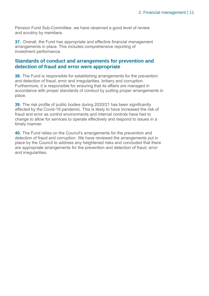Pension Fund Sub-Committee, we have observed a good level of review and scrutiny by members.

**37.** Overall, the Fund has appropriate and effective financial management arrangements in place. This includes comprehensive reporting of investment performance.

#### **Standards of conduct and arrangements for prevention and detection of fraud and error were appropriate**

**38.** The Fund is responsible for establishing arrangements for the prevention and detection of fraud, error and irregularities, bribery and corruption. Furthermore, it is responsible for ensuring that its affairs are managed in accordance with proper standards of conduct by putting proper arrangements in place.

**39.** The risk profile of public bodies during 2020/21 has been significantly affected by the Covid-19 pandemic. This is likely to have increased the risk of fraud and error as control environments and internal controls have had to change to allow for services to operate effectively and respond to issues in a timely manner.

**40.** The Fund relies on the Council's arrangements for the prevention and detection of fraud and corruption. We have reviewed the arrangements put in place by the Council to address any heightened risks and concluded that there are appropriate arrangements for the prevention and detection of fraud, error and irregularities.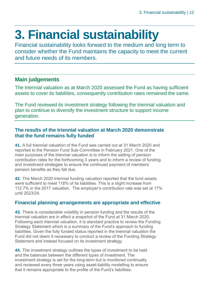# <span id="page-11-0"></span>**3. Financial sustainability**

Financial sustainability looks forward to the medium and long term to consider whether the Fund maintains the capacity to meet the current and future needs of its members.

#### **Main judgements**

The triennial valuation as at March 2020 assessed the Fund as having sufficient assets to cover its liabilities, consequently contribution rates remained the same.

The Fund reviewed its investment strategy following the triennial valuation and plan to continue to diversify the investment structure to support income generation.

#### **The results of the triennial valuation at March 2020 demonstrate that the fund remains fully funded**

**41.** A full triennial valuation of the Fund was carried out at 31 March 2020 and reported to the Pension Fund Sub-Committee in February 2021. One of the main purposes of the triennial valuation is to inform the setting of pension contribution rates for the forthcoming 3 years and to inform a review of funding and investment strategies to ensure the continued payment of members' pension benefits as they fall due.

**42.** The March 2020 triennial funding valuation reported that the fund assets were sufficient to meet 118% of its liabilities. This is a slight increase from 112.7% in the 2017 valuation. The employer's contribution rate was set at 17% until 2023/24.

#### **Financial planning arrangements are appropriate and effective**

**43.** There is considerable volatility in pension funding and the results of the triennial valuation are in effect a snapshot of the Fund at 31 March 2020. Following each triennial valuation, it is standard practice to review the Funding Strategy Statement which is a summary of the Fund's approach to funding liabilities. Given the fully funded status reported in the triennial valuation the Fund did not deem it necessary to conduct a review of the Funding Strategy Statement and instead focused on its investment strategy.

**44.** The investment strategy outlines the types of investment to be held and the balances between the different types of investment. The investment strategy is set for the long-term but is monitored continually and reviewed every three years using asset-liability modelling to ensure that it remains appropriate to the profile of the Fund's liabilities.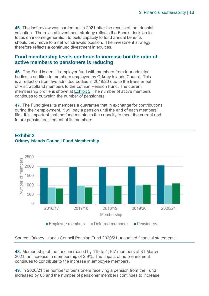**45.** The last review was carried out in 2021 after the results of the triennial valuation. The revised investment strategy reflects the Fund's decision to focus on income generation to build capacity to fund annual benefits should they move to a net withdrawals position. The investment strategy therefore reflects a continued divestment in equities.

#### **Fund membership levels continue to increase but the ratio of active members to pensioners is reducing**

**46.** The Fund is a multi-employer fund with members from four admitted bodies in addition to members employed by Orkney Islands Council. This is a reduction from five admitted bodies in 2019/20 due to the transfer out of Visit Scotland members to the Lothian Pension Fund. The current membership profile is shown at [Exhibit 3](#page-12-0). The number of active members continues to outweigh the number of pensioners.

**47.** The Fund gives its members a guarantee that in exchange for contributions during their employment, it will pay a pension until the end of each members' life. It is important that the fund maintains the capacity to meet the current and future pension entitlement of its members.



#### <span id="page-12-0"></span>**Exhibit 3 Orkney Islands Council Fund Membership**

Source: Orkney Islands Council Pension Fund 2020/21 unaudited financial statements

**48.** Membership of the fund increased by 119 to 4,167 members at 31 March 2021, an increase in membership of 2.9%. The impact of auto-enrolment continues to contribute to the increase in employee members.

**49.** In 2020/21 the number of pensioners receiving a pension from the Fund increased by 63 and the number of pensioner members continues to increase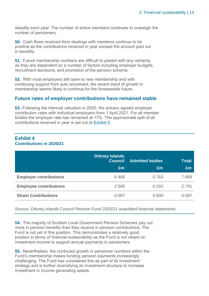steadily each year. The number of active members continues to outweigh the number of pensioners.

**50.** Cash flows received from dealings with members continue to be positive as the contributions received in year exceed the amount paid out in benefits.

**51.** Future membership numbers are difficult to predict with any certainty as they are dependent on a number of factors including employer budgets, recruitment decisions, and promotion of the pension scheme.

**52.** With most employers still open to new membership and with continuing support from auto enrolment, the recent trend of growth in membership seems likely to continue for the foreseeable future.

#### **Future rates of employer contributions have remained stable**

**53.** Following the triennial valuation in 2020, the actuary agreed employer contribution rates with individual employers from 1 April 2021. For all member bodies the employer rate has remained at 17%. The approximate split of all contributions received in year is set out at [Exhibit 5.](#page-13-0)

#### <span id="page-13-0"></span>**Exhibit 4 Contributions in 2020/21**

|                               | <b>Orkney Islands</b><br><b>Council</b><br>Em | <b>Admitted bodies</b><br>Em | <b>Total</b><br>£m |
|-------------------------------|-----------------------------------------------|------------------------------|--------------------|
| <b>Employer contributions</b> | 6.906                                         | 0.763                        | 7.669              |
| <b>Employee contributions</b> | 2.500                                         | 0.291                        | 2.791              |
| <b>Strain Contributions</b>   | 0.097                                         | 0.000                        | 0.097              |

Source: Orkney Islands Council Pension Fund 2020/21 unaudited financial statements

**54.** The majority of Scottish Local Government Pension Schemes pay out more in pension benefits than they receive in pension contributions. The Fund is not yet in this position. This demonstrates a relatively good position in terms of financial sustainability as the Fund is not reliant on investment income to support annual payments to pensioners.

**55.** Nevertheless, the continued growth in pensioner numbers within the Fund's membership makes funding pension payments increasingly challenging. The Fund has considered this as part of its investment strategy and is further diversifying its investment structure to increase investment in income generating assets.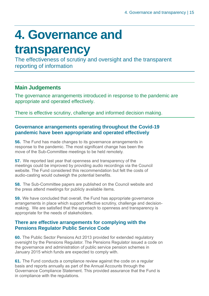## <span id="page-14-0"></span>**4. Governance and**

### **transparency**

The effectiveness of scrutiny and oversight and the transparent reporting of information

#### **Main Judgements**

The governance arrangements introduced in response to the pandemic are appropriate and operated effectively.

There is effective scrutiny, challenge and informed decision making.

#### **Governance arrangements operating throughout the Covid-19 pandemic have been appropriate and operated effectively**

**56.** The Fund has made changes to its governance arrangements in response to the pandemic. The most significant change has been the move of the Sub-Committee meetings to be held remotely.

**57.** We reported last year that openness and transparency of the meetings could be improved by providing audio recordings via the Council website. The Fund considered this recommendation but felt the costs of audio-casting would outweigh the potential benefits.

**58.** The Sub-Committee papers are published on the Council website and the press attend meetings for publicly available items.

**59.** We have concluded that overall, the Fund has appropriate governance arrangements in place which support effective scrutiny, challenge and decisionmaking. We are satisfied that the approach to openness and transparency is appropriate for the needs of stakeholders.

#### **There are effective arrangements for complying with the Pensions Regulator Public Service Code**

**60.** The Public Sector Pensions Act 2013 provided for extended regulatory oversight by the Pensions Regulator. The Pensions Regulator issued a code on the governance and administration of public service pension schemes in January 2015 which funds are expected to comply with.

**61.** The Fund conducts a compliance review against the code on a regular basis and reports annually as part of the Annual Accounts through the Governance Compliance Statement. This provided assurance that the Fund is in compliance with the regulations.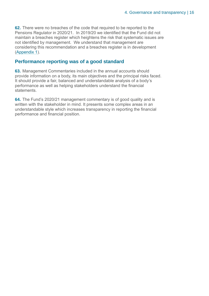**62.** There were no breaches of the code that required to be reported to the Pensions Regulator in 2020/21. In 2019/20 we identified that the Fund did not maintain a breaches register which heightens the risk that systematic issues are not identified by management. We understand that management are considering this recommendation and a breaches register is in development [\(Appendix 1\)](#page-20-0).

#### **Performance reporting was of a good standard**

**63.** Management Commentaries included in the annual accounts should provide information on a body, its main objectives and the principal risks faced. It should provide a fair, balanced and understandable analysis of a body's performance as well as helping stakeholders understand the financial statements.

**64.** The Fund's 2020/21 management commentary is of good quality and is written with the stakeholder in mind. It presents some complex areas in an understandable style which increases transparency in reporting the financial performance and financial position.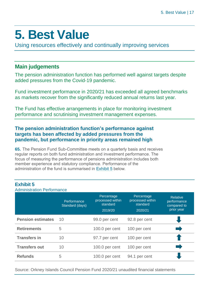### <span id="page-16-0"></span>**5. Best Value**

Using resources effectively and continually improving services

#### **Main judgements**

The pension administration function has performed well against targets despite added pressures from the Covid-19 pandemic.

Fund investment performance in 2020/21 has exceeded all agreed benchmarks as markets recover from the significantly reduced annual returns last year.

The Fund has effective arrangements in place for monitoring investment performance and scrutinising investment management expenses.

#### **The pension administration function's performance against targets has been affected by added pressures from the pandemic, but performance in priority areas remained high**

**65.** The Pension Fund Sub-Committee meets on a quarterly basis and receives regular reports on both fund administration and investment performance. The focus of measuring the performance of pensions administration includes both member experience and statutory compliance. Performance of the administration of the fund is summarised in [Exhibit 5](#page-16-1) below.

#### <span id="page-16-1"></span>**Exhibit 5**

Administration Performance

|                          | Performance<br>Standard (days) | Percentage<br>processed within<br>standard<br>2019/20 | Percentage<br>processed within<br>standard<br>2020/21 | <b>Relative</b><br>performance<br>compared to<br>prior year |
|--------------------------|--------------------------------|-------------------------------------------------------|-------------------------------------------------------|-------------------------------------------------------------|
| <b>Pension estimates</b> | 10                             | 99.0 per cent                                         | 92.8 per cent                                         |                                                             |
| <b>Retirements</b>       | 5                              | 100.0 per cent                                        | 100 per cent                                          |                                                             |
| <b>Transfers in</b>      | 10                             | 97.7 per cent                                         | 100 per cent                                          |                                                             |
| <b>Transfers out</b>     | 10                             | 100.0 per cent                                        | 100 per cent                                          |                                                             |
| <b>Refunds</b>           | 5                              | 100.0 per cent                                        | 94.1 per cent                                         |                                                             |

Source: Orkney Islands Council Pension Fund 2020/21 unaudited financial statements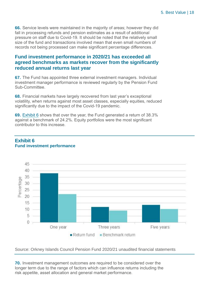**66.** Service levels were maintained in the majority of areas; however they did fall in processing refunds and pension estimates as a result of additional pressure on staff due to Covid-19. It should be noted that the relatively small size of the fund and transactions involved mean that even small numbers of records not being processed can make significant percentage differences.

#### **Fund investment performance in 2020/21 has exceeded all agreed benchmarks as markets recover from the significantly reduced annual returns last year**

**67.** The Fund has appointed three external investment managers. Individual investment manager performance is reviewed regularly by the Pension Fund Sub-Committee.

**68.** Financial markets have largely recovered from last year's exceptional volatility, when returns against most asset classes, especially equities, reduced significantly due to the impact of the Covid-19 pandemic.

**69.** [Exhibit 6](#page-17-0) shows that over the year, the Fund generated a return of 38.3% against a benchmark of 24.2%. Equity portfolios were the most significant contributor to this increase.



#### <span id="page-17-0"></span>**Exhibit 6 Fund investment performance**

Source: Orkney Islands Council Pension Fund 2020/21 unaudited financial statements

**70.** Investment management outcomes are required to be considered over the longer term due to the range of factors which can influence returns including the risk appetite, asset allocation and general market performance.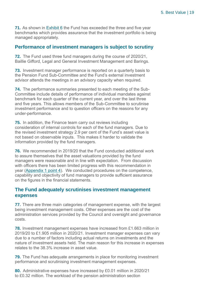**71.** As shown in [Exhibit 6](#page-17-0) the Fund has exceeded the three and five year benchmarks which provides assurance that the investment portfolio is being managed appropriately.

#### **Performance of investment managers is subject to scrutiny**

**72.** The Fund used three fund managers during the course of 2020/21, Baillie Gifford, Legal and General Investment Management and Barings.

**73.** Investment manager performance is reported on a quarterly basis to the Pension Fund Sub-Committee and the Fund's external investment advisor attends the meetings in an advisory capacity when required.

**74.** The performance summaries presented to each meeting of the Sub-Committee include details of performance of individual mandates against benchmark for each quarter of the current year, and over the last three and five years. This allows members of the Sub-Committee to scrutinise investment performance and to question officers on the reasons for any under-performance.

**75.** In addition, the Finance team carry out reviews including consideration of internal controls for each of the fund managers. Due to the revised investment strategy 2.9 per cent of the Fund's asset value is not based on observable inputs. This makes it harder to validate the information provided by the fund managers.

**76.** We recommended in 2019/20 that the Fund conducted additional work to assure themselves that the asset valuations provided by the fund managers were reasonable and in line with expectation. From discussion with officers there has been limited progress with this recommendation in year [\(Appendix 1](#page-20-0) point 4). We conducted procedures on the competence, capability and objectivity of fund managers to provide sufficient assurance on the figures in the financial statements.

#### **The Fund adequately scrutinises investment management expenses**

**77.** There are three main categories of management expense, with the largest being investment management costs. Other expenses are the cost of the administration services provided by the Council and oversight and governance costs.

**78.** Investment management expenses have increased from £1.663 million in 2019/20 to £1.905 million in 2020/21. Investment manager expenses can vary due to a number of factors including actual returns on investments and the nature of investment assets held. The main reason for this increase in expenses relates to the 38.3% increase in asset value.

**79.** The Fund has adequate arrangements in place for monitoring investment performance and scrutinising investment management expenses.

**80.** Administrative expenses have increased by £0.01 million in 2020/21 to £0.32 million. The workload of the pension administration section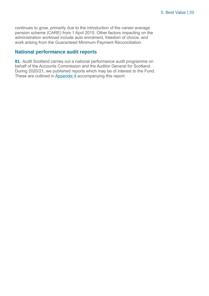continues to grow, primarily due to the introduction of the career average pension scheme (CARE) from 1 April 2015. Other factors impacting on the administration workload include auto enrolment, freedom of choice, and work arising from the Guaranteed Minimum Payment Reconciliation.

#### **National performance audit reports**

**81.** Audit Scotland carries out a national performance audit programme on behalf of the Accounts Commission and the Auditor General for Scotland. During 2020/21, we published reports which may be of interest to the Fund. These are outlined in [Appendix 4](#page-25-1) accompanying this report.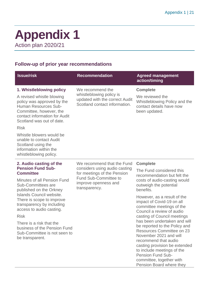### <span id="page-20-0"></span>**Appendix 1** Action plan 2020/21

#### **Follow-up of prior year recommendations**

| <b>Issue/risk</b>                                                                                                                                                                                                   | <b>Recommendation</b>                                                                                                                 | <b>Agreed management</b><br>action/timing                                                                                                                                                                                               |                          |
|---------------------------------------------------------------------------------------------------------------------------------------------------------------------------------------------------------------------|---------------------------------------------------------------------------------------------------------------------------------------|-----------------------------------------------------------------------------------------------------------------------------------------------------------------------------------------------------------------------------------------|--------------------------|
| 1. Whistleblowing policy<br>A revised whistle blowing<br>policy was approved by the<br>Human Resources Sub-<br>Committee, however, the<br>contact information for Audit<br>Scotland was out of date.<br><b>Risk</b> | We recommend the<br>whistleblowing policy is<br>updated with the correct Audit<br>Scotland contact information.                       | <b>Complete</b><br>We reviewed the<br>Whistleblowing Policy and the<br>contact details have now<br>been updated.                                                                                                                        |                          |
| Whistle blowers would be<br>unable to contact Audit<br>Scotland using the<br>information within the<br>whistleblowing policy.                                                                                       |                                                                                                                                       |                                                                                                                                                                                                                                         |                          |
| 2. Audio casting of the                                                                                                                                                                                             | We recommend that the Fund                                                                                                            | <b>Complete</b>                                                                                                                                                                                                                         |                          |
| <b>Pension Fund Sub-</b><br><b>Committee</b>                                                                                                                                                                        | considers using audio casting<br>for meetings of the Pension<br><b>Fund Sub-Committee to</b><br>improve openness and<br>transparency. |                                                                                                                                                                                                                                         | The Fund considered this |
| Minutes of all Pension Fund<br>Sub-Committees are<br>published on the Orkney                                                                                                                                        |                                                                                                                                       | recommendation but felt the<br>costs of audio-casting would<br>outweigh the potential<br>benefits.                                                                                                                                      |                          |
| Islands Council website.<br>There is scope to improve<br>transparency by including<br>access to audio casting.                                                                                                      |                                                                                                                                       | However, as a result of the<br>impact of Covid-19 on all<br>committee meetings of the<br>Council a review of audio                                                                                                                      |                          |
| <b>Risk</b>                                                                                                                                                                                                         |                                                                                                                                       | casting of Council meetings                                                                                                                                                                                                             |                          |
| There is a risk that the<br>business of the Pension Fund<br>Sub-Committee is not seen to<br>be transparent.                                                                                                         |                                                                                                                                       | has been undertaken and will<br>be reported to the Policy and<br><b>Resources Committee on 23</b><br>November 2021 and will<br>recommend that audio<br>casting provision be extended<br>to include meetings of the<br>Pension Fund Sub- |                          |

committee, together with Pension Board where they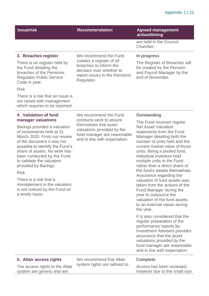#### Appendix 1 | 22

| <b>Issue/risk</b>                                                                                                                                                                                                                                                                                                                                                                                                                                         | <b>Recommendation</b>                                                                                                                                                   | <b>Agreed management</b><br>action/timing                                                                                                                                                                                                                                                                                                                                                                                                                                                                                                                                                                                                                                                                                                                                                                                                                    |
|-----------------------------------------------------------------------------------------------------------------------------------------------------------------------------------------------------------------------------------------------------------------------------------------------------------------------------------------------------------------------------------------------------------------------------------------------------------|-------------------------------------------------------------------------------------------------------------------------------------------------------------------------|--------------------------------------------------------------------------------------------------------------------------------------------------------------------------------------------------------------------------------------------------------------------------------------------------------------------------------------------------------------------------------------------------------------------------------------------------------------------------------------------------------------------------------------------------------------------------------------------------------------------------------------------------------------------------------------------------------------------------------------------------------------------------------------------------------------------------------------------------------------|
|                                                                                                                                                                                                                                                                                                                                                                                                                                                           |                                                                                                                                                                         | are held in the Council<br>Chamber.                                                                                                                                                                                                                                                                                                                                                                                                                                                                                                                                                                                                                                                                                                                                                                                                                          |
| 3. Breaches register<br>There is no register held by<br>the Fund detailing the<br>breaches of the Pensions<br><b>Regulator Public Service</b><br>Code in year.<br><b>Risk</b><br>There is a risk that an issue is<br>not raised with management<br>which requires to be reported                                                                                                                                                                          | We recommend the Fund<br>creates a register of all<br>breaches to inform the<br>decision over whether to<br>report issues to the Pensions<br>Regulator.                 | In progress<br>The Register of Breaches will<br>be created by the Pension<br>and Payroll Manager by the<br>end of November.                                                                                                                                                                                                                                                                                                                                                                                                                                                                                                                                                                                                                                                                                                                                  |
| 4. Validation of fund<br>manager valuations<br>Barings provided a valuation<br>of investments held at 31<br>March 2020. From our review<br>of the document it was not<br>possible to identify the Fund's<br>share of assets. No work has<br>been conducted by the Fund<br>to validate the valuation<br>provided by Barings.<br><b>Risk</b><br>There is a risk that a<br>misstatement in the valuation<br>is not noticed by the Fund on<br>a timely basis. | We recommend the Fund<br>conducts work to assure<br>themselves that asset<br>valuations provided by the<br>fund manager are reasonable<br>and in line with expectation. | <b>Outstanding</b><br>The Fund receives regular<br><b>Net Asset Valuation</b><br>statements from the Fund<br>Manager detailing both the<br>number of units held and the<br>current market value of those<br>units. Being a pooled fund,<br>individual investors hold<br>multiple units in the Fund<br>rather than a direct share of<br>the fund's assets themselves.<br>Assurance regarding the<br>valuation of fund assets was<br>taken from the actions of the<br>Fund Manager during the<br>year to outsource the<br>valuation of the fund assets<br>to an external valuer during<br>the year.<br>It is also considered that the<br>regular preparation of the<br>performance reports by<br><b>Investment Advisers provides</b><br>assurance that the asset<br>valuations provided by the<br>fund manager are reasonable<br>and in line with expectation. |
| 5. Altair access rights<br>The access rights to the Altair<br>system are generic and are                                                                                                                                                                                                                                                                                                                                                                  | We recommend that Altair<br>system rights are tailored to                                                                                                               | <b>Complete</b><br>Access has been reviewed,<br>however due to the small size                                                                                                                                                                                                                                                                                                                                                                                                                                                                                                                                                                                                                                                                                                                                                                                |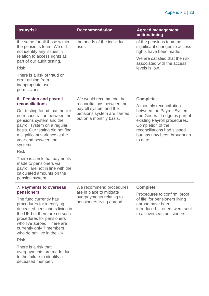#### Appendix 1 | 23

| <b>Issue/risk</b>                                                                        | <b>Recommendation</b>                | <b>Agreed management</b><br>action/timing                                          |
|------------------------------------------------------------------------------------------|--------------------------------------|------------------------------------------------------------------------------------|
| the same for all those within<br>the pensions team. We did<br>not identify any issues in | the needs of the individual<br>user. | of the pensions team no<br>significant changes to access<br>rights have been made. |
| relation to access rights as<br>part of our audit testing.                               |                                      | We are satisfied that the risk<br>associated with the access                       |
| <b>Risk</b>                                                                              |                                      | levels is low.                                                                     |
| There is a risk of fraud or<br>error arising from<br>inappropriate user<br>permissions   |                                      |                                                                                    |
| 6. Pension and payroll                                                                   | We would recommend that              | <b>Complete</b>                                                                    |
| reconciliations                                                                          | reconciliations between the          | A monthly reconciliation                                                           |
| Our testing found that there is                                                          | payroll system and the               | between the Payroll System                                                         |

 $\cup$ ur testing found that there is no reconciliation between the pensions system and the payroll system on a regular basis. Our testing did not find a significant variance at the year end between the systems.

pensions system are carried out on a monthly basis.

between the Payroll System and General Ledger is part of existing Payroll procedures. Completion of the reconciliations had slipped but has now been brought up to date.

Risk

There is a risk that payments made to pensioners via payroll are not in line with the calculated amounts on the pension system

#### **7. Payments to overseas pensioners**

The fund currently has procedures for identifying deceased pensioners living in the UK but there are no such procedures for pensioners who live abroad. There are currently only 7 members who do not live in the UK.

Risk

There is a risk that overpayments are made due to the failure to identify a deceased member.

We recommend procedures are in place to mitigate overpayments relating to pensioners living abroad.

#### **Complete**

Procedures to confirm 'proof of life' for pensioners living abroad have been introduced. Letters were sent to all overseas pensioners.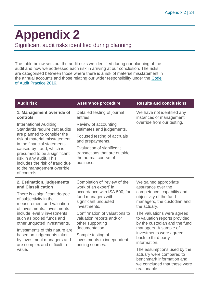# <span id="page-23-0"></span>**Appendix 2**

Significant audit risks identified during planning

The table below sets out the audit risks we identified during our planning of the audit and how we addressed each risk in arriving at our conclusion. The risks are categorised between those where there is a risk of material misstatement in the annual accounts and those relating our wider responsibility under the [Code](http://www.audit-scotland.gov.uk/report/code-of-audit-practice-2016)  [of Audit Practice 2016.](http://www.audit-scotland.gov.uk/report/code-of-audit-practice-2016)

| <b>Audit risk</b>                                                                                                                                                    | <b>Assurance procedure</b>                                                                      | <b>Results and conclusions</b>                                                                                                      |
|----------------------------------------------------------------------------------------------------------------------------------------------------------------------|-------------------------------------------------------------------------------------------------|-------------------------------------------------------------------------------------------------------------------------------------|
| 1. Management override of                                                                                                                                            | Detailed testing of journal                                                                     | We have not identified any                                                                                                          |
| controls                                                                                                                                                             | entries.                                                                                        | instances of management                                                                                                             |
| <b>International Auditing</b><br>Standards require that audits                                                                                                       | Review of accounting<br>estimates and judgements.                                               | override from our testing.                                                                                                          |
| are planned to consider the<br>risk of material misstatement<br>in the financial statements                                                                          | Focused testing of accruals<br>and prepayments.                                                 |                                                                                                                                     |
| caused by fraud, which is<br>presumed to be a significant<br>risk in any audit. This<br>includes the risk of fraud due<br>to the management override<br>of controls. | Evaluation of significant<br>transactions that are outside<br>the normal course of<br>business. |                                                                                                                                     |
| 2. Estimation, judgements                                                                                                                                            | Completion of 'review of the                                                                    | We gained appropriate                                                                                                               |
| and Classification                                                                                                                                                   | work of an expert' in                                                                           | assurance over the                                                                                                                  |
| There is a significant degree                                                                                                                                        | accordance with ISA 500, for                                                                    | competence, capability and                                                                                                          |
| of subjectivity in the                                                                                                                                               | fund managers with                                                                              | objectivity of the fund                                                                                                             |
| measurement and valuation                                                                                                                                            | significant unquoted                                                                            | managers, the custodian and                                                                                                         |
| of investments. Investments                                                                                                                                          | investments.                                                                                    | the actuary.                                                                                                                        |
| include level 3 investments                                                                                                                                          | Confirmation of valuations to                                                                   | The valuations were agreed                                                                                                          |
| such as pooled funds and                                                                                                                                             | valuation reports and/ or                                                                       | to valuation reports provided                                                                                                       |
| other unquoted investments.                                                                                                                                          | other supporting                                                                                | by the custodian and the fund                                                                                                       |
| Investments of this nature are                                                                                                                                       | documentation.                                                                                  | managers. A sample of                                                                                                               |
| based on judgements taken                                                                                                                                            | Sample testing of                                                                               | investments were agreed                                                                                                             |
| by investment managers and                                                                                                                                           | investments to independent                                                                      | back to third party                                                                                                                 |
| are complex and difficult to                                                                                                                                         | pricing sources.                                                                                | information.                                                                                                                        |
| value.                                                                                                                                                               |                                                                                                 | The assumptions used by the<br>actuary were compared to<br>benchmark information and<br>we concluded that these were<br>reasonable. |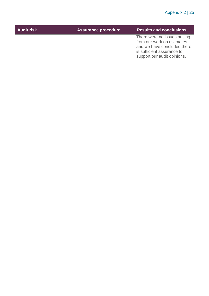| from our work on estimates<br>is sufficient assurance to<br>support our audit opinions. | <b>Audit risk</b> | <b>Assurance procedure</b> | <b>Results and conclusions</b>                              |
|-----------------------------------------------------------------------------------------|-------------------|----------------------------|-------------------------------------------------------------|
|                                                                                         |                   |                            | There were no issues arising<br>and we have concluded there |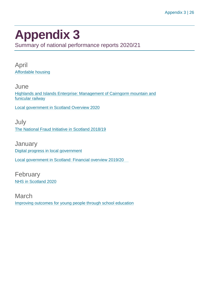### <span id="page-25-1"></span><span id="page-25-0"></span>**Appendix 3**

Summary of national performance reports 2020/21

April [Affordable housing](https://www.audit-scotland.gov.uk/report/affordable-housing)

**June** [Highlands and Islands Enterprise: Management of Cairngorm mountain and](https://www.audit-scotland.gov.uk/report/highlands-and-islands-enterprise-management-of-cairngorm-mountain-and-funicular-railway)  [funicular railway](https://www.audit-scotland.gov.uk/report/highlands-and-islands-enterprise-management-of-cairngorm-mountain-and-funicular-railway)

[Local government in Scotland Overview 2020](https://www.audit-scotland.gov.uk/report/local-government-in-scotland-overview-2020)

July [The National Fraud Initiative in Scotland 2018/19](https://www.audit-scotland.gov.uk/report/the-national-fraud-initiative-in-scotland-201819)

**January** [Digital progress in local government](https://www.audit-scotland.gov.uk/report/digital-progress-in-local-government) [Local government in Scotland: Financial overview 2019/20](https://www.audit-scotland.gov.uk/report/local-government-in-scotland-financial-overview-201920)

February [NHS in Scotland 2020](https://www.audit-scotland.gov.uk/report/nhs-in-scotland-2020)

March [Improving outcomes for young people through school education](https://www.audit-scotland.gov.uk/report/improving-outcomes-for-young-people-through-school-education)